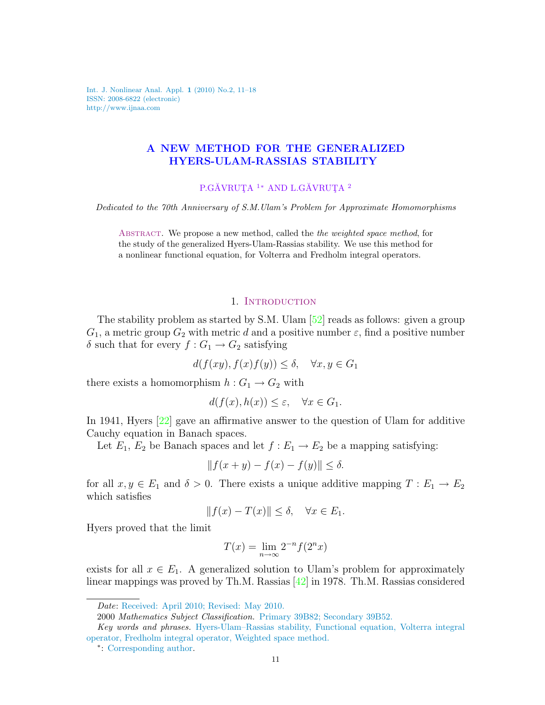Int. J. Nonlinear Anal. Appl. 1 (2010) No.2, 11–18 ISSN: 2008-6822 (electronic) http://www.ijnaa.com

# A NEW METHOD FOR THE GENERALIZED HYERS-ULAM-RASSIAS STABILITY

P.GĂVRUȚA<sup>1</sup> \* AND L.GĂVRUȚA<sup>2</sup>

Dedicated to the 70th Anniversary of S.M.Ulam's Problem for Approximate Homomorphisms

ABSTRACT. We propose a new method, called the *the weighted space method*, for the study of the generalized Hyers-Ulam-Rassias stability. We use this method for a nonlinear functional equation, for Volterra and Fredholm integral operators.

## 1. INTRODUCTION

The stability problem as started by S.M. Ulam [\[52\]](#page-6-0) reads as follows: given a group  $G_1$ , a metric group  $G_2$  with metric d and a positive number  $\varepsilon$ , find a positive number δ such that for every  $f: G_1 \to G_2$  satisfying

 $d(f(xy), f(x)f(y)) \leq \delta, \quad \forall x, y \in G_1$ 

there exists a homomorphism  $h: G_1 \to G_2$  with

$$
d(f(x), h(x)) \le \varepsilon, \quad \forall x \in G_1.
$$

In 1941, Hyers [\[22\]](#page-5-0) gave an affirmative answer to the question of Ulam for additive Cauchy equation in Banach spaces.

Let  $E_1, E_2$  be Banach spaces and let  $f : E_1 \to E_2$  be a mapping satisfying:

$$
||f(x+y) - f(x) - f(y)|| \le \delta.
$$

for all  $x, y \in E_1$  and  $\delta > 0$ . There exists a unique additive mapping  $T : E_1 \to E_2$ which satisfies

$$
||f(x) - T(x)|| \le \delta, \quad \forall x \in E_1.
$$

Hyers proved that the limit

$$
T(x) = \lim_{n \to \infty} 2^{-n} f(2^n x)
$$

exists for all  $x \in E_1$ . A generalized solution to Ulam's problem for approximately linear mappings was proved by Th.M. Rassias [\[42\]](#page-6-1) in 1978. Th.M. Rassias considered

Date: Received: April 2010; Revised: May 2010.

<sup>2000</sup> Mathematics Subject Classification. Primary 39B82; Secondary 39B52.

Key words and phrases. Hyers-Ulam–Rassias stability, Functional equation, Volterra integral operator, Fredholm integral operator, Weighted space method.

<sup>∗</sup> : Corresponding author.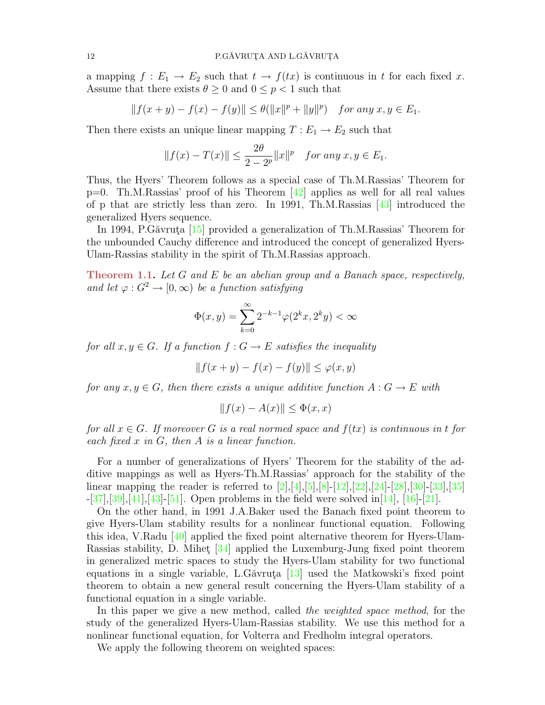a mapping  $f : E_1 \to E_2$  such that  $t \to f(tx)$  is continuous in t for each fixed x. Assume that there exists  $\theta \geq 0$  and  $0 \leq p < 1$  such that

$$
||f(x+y) - f(x) - f(y)|| \le \theta(||x||^p + ||y||^p) \quad \text{for any } x, y \in E_1.
$$

Then there exists an unique linear mapping  $T : E_1 \to E_2$  such that

$$
||f(x) - T(x)|| \le \frac{2\theta}{2 - 2^p} ||x||^p
$$
 for any  $x, y \in E_1$ .

Thus, the Hyers' Theorem follows as a special case of Th.M.Rassias' Theorem for p=0. Th.M.Rassias' proof of his Theorem [\[42\]](#page-6-1) applies as well for all real values of p that are strictly less than zero. In 1991, Th.M.Rassias [\[43\]](#page-6-2) introduced the generalized Hyers sequence.

In 1994, P.Găvruta  $[15]$  provided a generalization of Th.M.Rassias' Theorem for the unbounded Cauchy difference and introduced the concept of generalized Hyers-Ulam-Rassias stability in the spirit of Th.M.Rassias approach.

Theorem 1.1. Let G and E be an abelian group and a Banach space, respectively, and let  $\varphi: G^2 \to [0, \infty)$  be a function satisfying

$$
\Phi(x,y) = \sum_{k=0}^{\infty} 2^{-k-1} \varphi(2^k x, 2^k y) < \infty
$$

for all  $x, y \in G$ . If a function  $f: G \to E$  satisfies the inequality

$$
|| f(x + y) - f(x) - f(y)|| \le \varphi(x, y)
$$

for any  $x, y \in G$ , then there exists a unique additive function  $A: G \to E$  with

$$
||f(x) - A(x)|| \le \Phi(x, x)
$$

for all  $x \in G$ . If moreover G is a real normed space and  $f(tx)$  is continuous in t for each fixed  $x$  in  $G$ , then  $A$  is a linear function.

For a number of generalizations of Hyers' Theorem for the stability of the additive mappings as well as Hyers-Th.M.Rassias' approach for the stability of the linear mapping the reader is referred to  $[2]$ , $[4]$ , $[5]$ , $[8]$ - $[12]$ , $[22]$ , $[24]$ - $[28]$ , $[30]$ - $[33]$ , $[35]$  $-[37],[39],[41],[43]-[51]$  $-[37],[39],[41],[43]-[51]$  $-[37],[39],[41],[43]-[51]$  $-[37],[39],[41],[43]-[51]$  $-[37],[39],[41],[43]-[51]$  $-[37],[39],[41],[43]-[51]$  $-[37],[39],[41],[43]-[51]$  $-[37],[39],[41],[43]-[51]$  $-[37],[39],[41],[43]-[51]$  $-[37],[39],[41],[43]-[51]$ . Open problems in the field were solved in [\[14\]](#page-5-8), [\[16\]](#page-5-9)-[\[21\]](#page-5-10).

On the other hand, in 1991 J.A.Baker used the Banach fixed point theorem to give Hyers-Ulam stability results for a nonlinear functional equation. Following this idea, V.Radu  $[40]$  applied the fixed point alternative theorem for Hyers-Ulam-Rassias stability, D. Mihet  $[34]$  applied the Luxemburg-Jung fixed point theorem in generalized metric spaces to study the Hyers-Ulam stability for two functional equations in a single variable, L.G $\alpha$ variations in a single variable, L.G $\alpha$ variations in a single variable, L.G $\alpha$ variations in a single variable, L.G $\alpha$ variable, L.G $\alpha$ variable,  $\alpha$ theorem to obtain a new general result concerning the Hyers-Ulam stability of a functional equation in a single variable.

In this paper we give a new method, called the weighted space method, for the study of the generalized Hyers-Ulam-Rassias stability. We use this method for a nonlinear functional equation, for Volterra and Fredholm integral operators.

<span id="page-1-0"></span>We apply the following theorem on weighted spaces: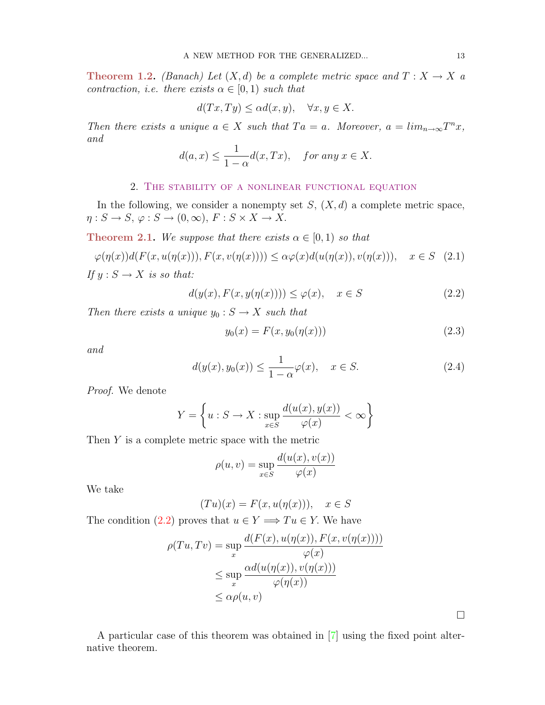**Theorem 1.2.** (Banach) Let  $(X,d)$  be a complete metric space and  $T : X \to X$  a contraction, i.e. there exists  $\alpha \in [0,1)$  such that

$$
d(Tx, Ty) \le \alpha d(x, y), \quad \forall x, y \in X.
$$

Then there exists a unique  $a \in X$  such that  $Ta = a$ . Moreover,  $a = \lim_{n \to \infty} T^n x$ , and

$$
d(a,x) \le \frac{1}{1-\alpha}d(x,Tx), \quad \text{for any } x \in X.
$$

## 2. The stability of a nonlinear functional equation

In the following, we consider a nonempty set  $S$ ,  $(X, d)$  a complete metric space,  $\eta: S \to S, \varphi: S \to (0, \infty), F: S \times X \to X.$ 

**Theorem 2.1.** We suppose that there exists  $\alpha \in [0,1)$  so that

$$
\varphi(\eta(x))d(F(x, u(\eta(x))), F(x, v(\eta(x)))) \le \alpha \varphi(x)d(u(\eta(x)), v(\eta(x))), \quad x \in S \quad (2.1)
$$

If  $y : S \to X$  is so that:

<span id="page-2-0"></span>
$$
d(y(x), F(x, y(\eta(x)))) \le \varphi(x), \quad x \in S \tag{2.2}
$$

Then there exists a unique  $y_0 : S \to X$  such that

$$
y_0(x) = F(x, y_0(\eta(x)))
$$
\n(2.3)

and

$$
d(y(x), y_0(x)) \le \frac{1}{1 - \alpha} \varphi(x), \quad x \in S. \tag{2.4}
$$

Proof. We denote

$$
Y = \left\{ u : S \to X : \sup_{x \in S} \frac{d(u(x), y(x))}{\varphi(x)} < \infty \right\}
$$

Then Y is a complete metric space with the metric

$$
\rho(u,v) = \sup_{x \in S} \frac{d(u(x), v(x))}{\varphi(x)}
$$

We take

$$
(Tu)(x) = F(x, u(\eta(x))), \quad x \in S
$$

The condition [\(2.2\)](#page-2-0) proves that  $u \in Y \Longrightarrow Tu \in Y$ . We have

$$
\rho(Tu, Tv) = \sup_x \frac{d(F(x), u(\eta(x)), F(x, v(\eta(x))))}{\varphi(x)}
$$
  

$$
\leq \sup_x \frac{\alpha d(u(\eta(x)), v(\eta(x)))}{\varphi(\eta(x))}
$$
  

$$
\leq \alpha \rho(u, v)
$$

A particular case of this theorem was obtained in [\[7\]](#page-5-12) using the fixed point alternative theorem.

 $\Box$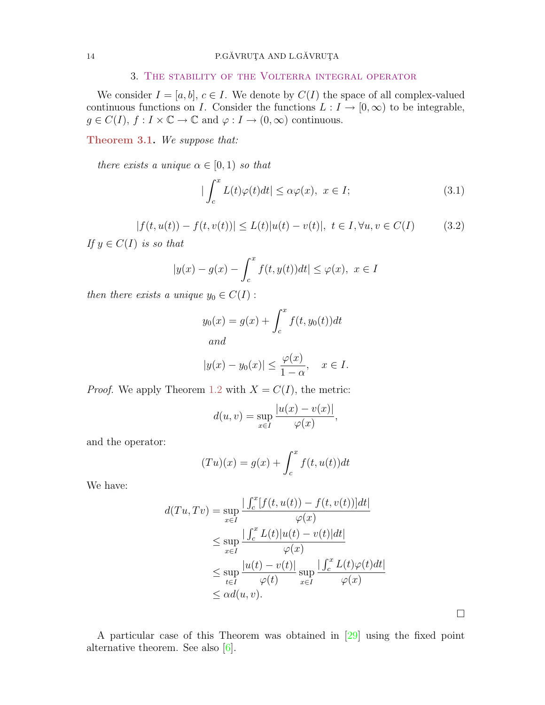### 3. The stability of the Volterra integral operator

We consider  $I = [a, b], c \in I$ . We denote by  $C(I)$  the space of all complex-valued continuous functions on I. Consider the functions  $L : I \to [0, \infty)$  to be integrable,  $g \in C(I), f : I \times \mathbb{C} \to \mathbb{C}$  and  $\varphi : I \to (0, \infty)$  continuous.

Theorem 3.1. We suppose that:

there exists a unique  $\alpha \in [0,1)$  so that

$$
|\int_{c}^{x} L(t)\varphi(t)dt| \leq \alpha\varphi(x), \ x \in I; \tag{3.1}
$$

$$
|f(t, u(t)) - f(t, v(t))| \le L(t)|u(t) - v(t)|, \ t \in I, \forall u, v \in C(I)
$$
 (3.2)

If  $y \in C(I)$  is so that

$$
|y(x) - g(x) - \int_c^x f(t, y(t))dt| \le \varphi(x), \ x \in I
$$

then there exists a unique  $y_0 \in C(I)$ :

$$
y_0(x) = g(x) + \int_c^x f(t, y_0(t))dt
$$
  
and

$$
|y(x) - y_0(x)| \le \frac{\varphi(x)}{1 - \alpha}, \quad x \in I.
$$

*Proof.* We apply Theorem [1.2](#page-1-0) with  $X = C(I)$ , the metric:

$$
d(u, v) = \sup_{x \in I} \frac{|u(x) - v(x)|}{\varphi(x)},
$$

and the operator:

$$
(Tu)(x) = g(x) + \int_c^x f(t, u(t))dt
$$

We have:

$$
d(Tu, Tv) = \sup_{x \in I} \frac{\left| \int_c^x [f(t, u(t)) - f(t, v(t))]dt \right|}{\varphi(x)}
$$
  

$$
\leq \sup_{x \in I} \frac{\left| \int_c^x L(t) |u(t) - v(t)|dt \right|}{\varphi(x)}
$$
  

$$
\leq \sup_{t \in I} \frac{|u(t) - v(t)|}{\varphi(t)} \sup_{x \in I} \frac{\left| \int_c^x L(t) \varphi(t)dt \right|}{\varphi(x)}
$$
  

$$
\leq \alpha d(u, v).
$$

A particular case of this Theorem was obtained in [\[29\]](#page-6-13) using the fixed point alternative theorem. See also [\[6\]](#page-5-13).

 $\Box$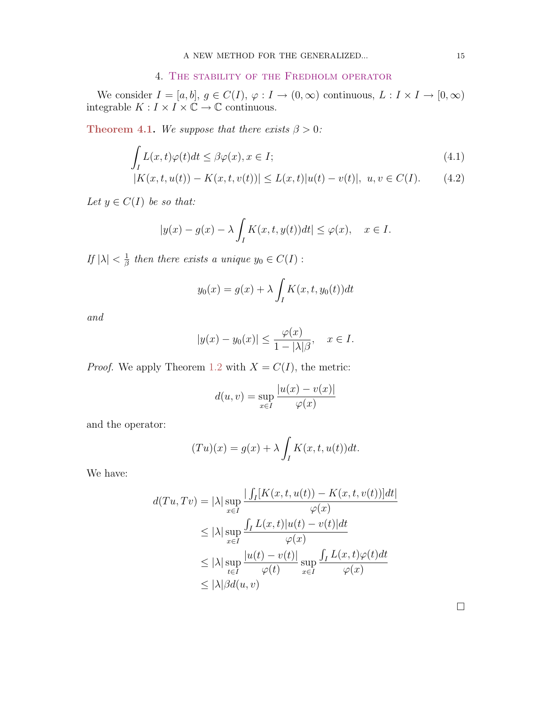## 4. The stability of the Fredholm operator

We consider  $I = [a, b], g \in C(I), \varphi : I \to (0, \infty)$  continuous,  $L : I \times I \to [0, \infty)$ integrable  $K: I \times I \times \mathbb{C} \to \mathbb{C}$  continuous.

Theorem 4.1. We suppose that there exists  $\beta > 0$ :

$$
\int_{I} L(x,t)\varphi(t)dt \leq \beta\varphi(x), x \in I;
$$
\n(4.1)

$$
|K(x,t,u(t)) - K(x,t,v(t))| \le L(x,t)|u(t) - v(t)|, \ u, v \in C(I). \tag{4.2}
$$

Let  $y \in C(I)$  be so that:

$$
|y(x) - g(x) - \lambda \int_I K(x, t, y(t))dt| \le \varphi(x), \quad x \in I.
$$

If  $|\lambda| < \frac{1}{\beta}$  $\frac{1}{\beta}$  then there exists a unique  $y_0 \in C(I)$ :

$$
y_0(x) = g(x) + \lambda \int_I K(x, t, y_0(t)) dt
$$

and

$$
|y(x) - y_0(x)| \le \frac{\varphi(x)}{1 - |\lambda|\beta}, \quad x \in I.
$$

*Proof.* We apply Theorem [1.2](#page-1-0) with  $X = C(I)$ , the metric:

$$
d(u, v) = \sup_{x \in I} \frac{|u(x) - v(x)|}{\varphi(x)}
$$

and the operator:

$$
(Tu)(x) = g(x) + \lambda \int_I K(x, t, u(t))dt.
$$

We have:

$$
d(Tu, Tv) = |\lambda| \sup_{x \in I} \frac{|\int_I [K(x, t, u(t)) - K(x, t, v(t))]dt|}{\varphi(x)}
$$
  
\n
$$
\leq |\lambda| \sup_{x \in I} \frac{\int_I L(x, t)|u(t) - v(t)|dt}{\varphi(x)}
$$
  
\n
$$
\leq |\lambda| \sup_{t \in I} \frac{|u(t) - v(t)|}{\varphi(t)} \sup_{x \in I} \frac{\int_I L(x, t)\varphi(t)dt}{\varphi(x)}
$$
  
\n
$$
\leq |\lambda| \beta d(u, v)
$$

 $\Box$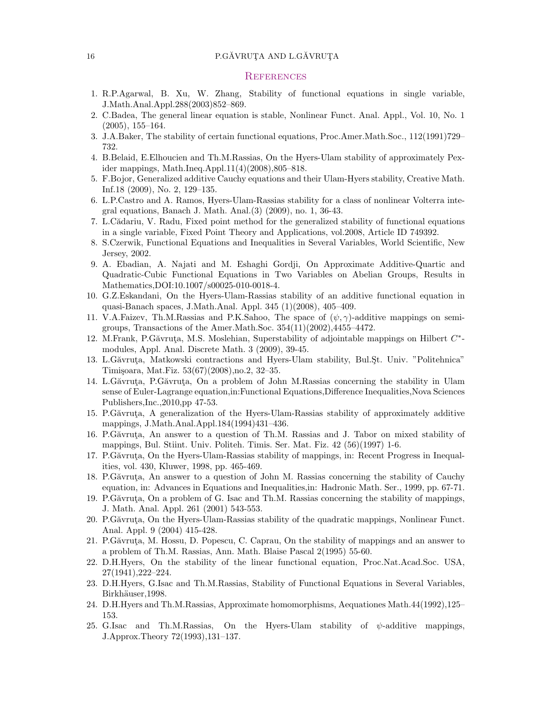#### 16 P.GĂVRUTA AND L.GĂVRUTA

#### **REFERENCES**

- 1. R.P.Agarwal, B. Xu, W. Zhang, Stability of functional equations in single variable, J.Math.Anal.Appl.288(2003)852–869.
- <span id="page-5-2"></span>2. C.Badea, The general linear equation is stable, Nonlinear Funct. Anal. Appl., Vol. 10, No. 1 (2005), 155–164.
- 3. J.A.Baker, The stability of certain functional equations, Proc.Amer.Math.Soc., 112(1991)729– 732.
- <span id="page-5-3"></span>4. B.Belaid, E.Elhoucien and Th.M.Rassias, On the Hyers-Ulam stability of approximately Pexider mappings, Math.Ineq.Appl.11(4)(2008),805–818.
- <span id="page-5-4"></span>5. F.Bojor, Generalized additive Cauchy equations and their Ulam-Hyers stability, Creative Math. Inf.18 (2009), No. 2, 129–135.
- <span id="page-5-13"></span>6. L.P.Castro and A. Ramos, Hyers-Ulam-Rassias stability for a class of nonlinear Volterra integral equations, Banach J. Math. Anal.(3) (2009), no. 1, 36-43.
- <span id="page-5-12"></span>7. L.C˘adariu, V. Radu, Fixed point method for the generalized stability of functional equations in a single variable, Fixed Point Theory and Applications, vol.2008, Article ID 749392.
- <span id="page-5-5"></span>8. S.Czerwik, Functional Equations and Inequalities in Several Variables, World Scientific, New Jersey, 2002.
- 9. A. Ebadian, A. Najati and M. Eshaghi Gordji, On Approximate Additive-Quartic and Quadratic-Cubic Functional Equations in Two Variables on Abelian Groups, Results in Mathematics,DOI:10.1007/s00025-010-0018-4.
- 10. G.Z.Eskandani, On the Hyers-Ulam-Rassias stability of an additive functional equation in quasi-Banach spaces, J.Math.Anal. Appl. 345 (1)(2008), 405–409.
- 11. V.A.Faizev, Th.M.Rassias and P.K.Sahoo, The space of  $(\psi, \gamma)$ -additive mappings on semigroups, Transactions of the Amer.Math.Soc. 354(11)(2002),4455–4472.
- <span id="page-5-6"></span>12. M.Frank, P.Găvruța, M.S. Moslehian, Superstability of adjointable mappings on Hilbert  $C^*$ modules, Appl. Anal. Discrete Math. 3 (2009), 39-45.
- <span id="page-5-11"></span>13. L.Găvruța, Matkowski contractions and Hyers-Ulam stability, Bul.St. Univ. "Politehnica" Timi¸soara, Mat.Fiz. 53(67)(2008),no.2, 32–35.
- <span id="page-5-8"></span>14. L.Găvruta, P.Găvruta, On a problem of John M.Rassias concerning the stability in Ulam sense of Euler-Lagrange equation,in:Functional Equations,Difference Inequalities,Nova Sciences Publishers,Inc.,2010,pp 47-53.
- <span id="page-5-1"></span>15. P.Găvruta, A generalization of the Hyers-Ulam-Rassias stability of approximately additive mappings, J.Math.Anal.Appl.184(1994)431–436.
- <span id="page-5-9"></span>16. P.Găvruta, An answer to a question of Th.M. Rassias and J. Tabor on mixed stability of mappings, Bul. Stiint. Univ. Politeh. Timis. Ser. Mat. Fiz. 42 (56)(1997) 1-6.
- 17. P.Găvruta, On the Hyers-Ulam-Rassias stability of mappings, in: Recent Progress in Inequalities, vol. 430, Kluwer, 1998, pp. 465-469.
- 18. P.Găvruta, An answer to a question of John M. Rassias concerning the stability of Cauchy equation, in: Advances in Equations and Inequalities,in: Hadronic Math. Ser., 1999, pp. 67-71.
- 19. P.Găvruta, On a problem of G. Isac and Th.M. Rassias concerning the stability of mappings, J. Math. Anal. Appl. 261 (2001) 543-553.
- 20. P.Găvruta, On the Hyers-Ulam-Rassias stability of the quadratic mappings, Nonlinear Funct. Anal. Appl. 9 (2004) 415-428.
- <span id="page-5-10"></span>21. P.Găvruta, M. Hossu, D. Popescu, C. Caprau, On the stability of mappings and an answer to a problem of Th.M. Rassias, Ann. Math. Blaise Pascal 2(1995) 55-60.
- <span id="page-5-0"></span>22. D.H.Hyers, On the stability of the linear functional equation, Proc.Nat.Acad.Soc. USA, 27(1941),222–224.
- 23. D.H.Hyers, G.Isac and Th.M.Rassias, Stability of Functional Equations in Several Variables, Birkhäuser, 1998.
- <span id="page-5-7"></span>24. D.H.Hyers and Th.M.Rassias, Approximate homomorphisms, Aequationes Math.44(1992),125– 153.
- 25. G.Isac and Th.M.Rassias, On the Hyers-Ulam stability of  $\psi$ -additive mappings, J.Approx.Theory 72(1993),131–137.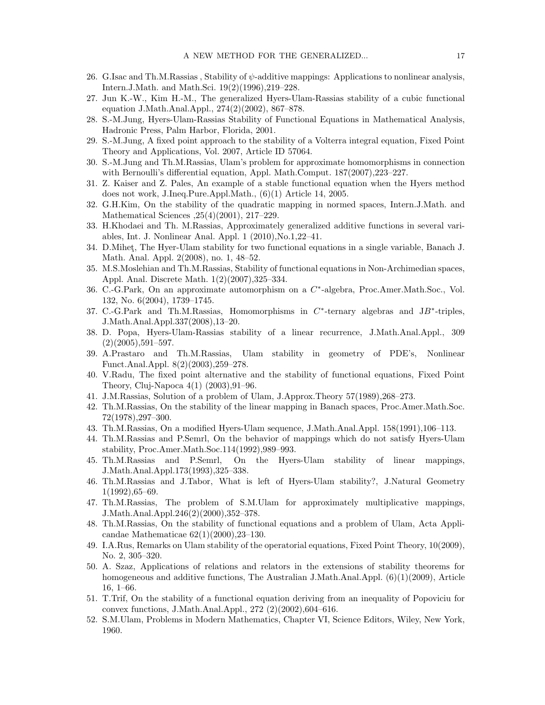- 26. G.Isac and Th.M.Rassias, Stability of  $\psi$ -additive mappings: Applications to nonlinear analysis, Intern.J.Math. and Math.Sci. 19(2)(1996),219–228.
- 27. Jun K.-W., Kim H.-M., The generalized Hyers-Ulam-Rassias stability of a cubic functional equation J.Math.Anal.Appl., 274(2)(2002), 867–878.
- <span id="page-6-3"></span>28. S.-M.Jung, Hyers-Ulam-Rassias Stability of Functional Equations in Mathematical Analysis, Hadronic Press, Palm Harbor, Florida, 2001.
- <span id="page-6-13"></span>29. S.-M.Jung, A fixed point approach to the stability of a Volterra integral equation, Fixed Point Theory and Applications, Vol. 2007, Article ID 57064.
- <span id="page-6-4"></span>30. S.-M.Jung and Th.M.Rassias, Ulam's problem for approximate homomorphisms in connection with Bernoulli's differential equation, Appl. Math.Comput. 187(2007),223–227.
- 31. Z. Kaiser and Z. Pales, An example of a stable functional equation when the Hyers method does not work, J.Ineq.Pure.Appl.Math., (6)(1) Article 14, 2005.
- 32. G.H.Kim, On the stability of the quadratic mapping in normed spaces, Intern.J.Math. and Mathematical Sciences ,25(4)(2001), 217–229.
- <span id="page-6-5"></span>33. H.Khodaei and Th. M.Rassias, Approximately generalized additive functions in several variables, Int. J. Nonlinear Anal. Appl. 1 (2010),No.1,22–41.
- <span id="page-6-12"></span>34. D. Mihet, The Hyer-Ulam stability for two functional equations in a single variable, Banach J. Math. Anal. Appl. 2(2008), no. 1, 48–52.
- <span id="page-6-6"></span>35. M.S.Moslehian and Th.M.Rassias, Stability of functional equations in Non-Archimedian spaces, Appl. Anal. Discrete Math. 1(2)(2007),325–334.
- 36. C.-G.Park, On an approximate automorphism on a C<sup>\*</sup>-algebra, Proc.Amer.Math.Soc., Vol. 132, No. 6(2004), 1739–1745.
- <span id="page-6-7"></span>37. C.-G.Park and Th.M.Rassias, Homomorphisms in  $C^*$ -ternary algebras and JB<sup>\*</sup>-triples, J.Math.Anal.Appl.337(2008),13–20.
- 38. D. Popa, Hyers-Ulam-Rassias stability of a linear recurrence, J.Math.Anal.Appl., 309  $(2)(2005),591-597.$
- <span id="page-6-8"></span>39. A.Prastaro and Th.M.Rassias, Ulam stability in geometry of PDE's, Nonlinear Funct.Anal.Appl. 8(2)(2003),259–278.
- <span id="page-6-11"></span>40. V.Radu, The fixed point alternative and the stability of functional equations, Fixed Point Theory, Cluj-Napoca 4(1) (2003),91–96.
- <span id="page-6-9"></span>41. J.M.Rassias, Solution of a problem of Ulam, J.Approx.Theory 57(1989),268–273.
- <span id="page-6-1"></span>42. Th.M.Rassias, On the stability of the linear mapping in Banach spaces, Proc.Amer.Math.Soc. 72(1978),297–300.
- <span id="page-6-2"></span>43. Th.M.Rassias, On a modified Hyers-Ulam sequence, J.Math.Anal.Appl. 158(1991),106–113.
- 44. Th.M.Rassias and P.Semrl, On the behavior of mappings which do not satisfy Hyers-Ulam stability, Proc.Amer.Math.Soc.114(1992),989–993.
- 45. Th.M.Rassias and P.Semrl, On the Hyers-Ulam stability of linear mappings, J.Math.Anal.Appl.173(1993),325–338.
- 46. Th.M.Rassias and J.Tabor, What is left of Hyers-Ulam stability?, J.Natural Geometry 1(1992),65–69.
- 47. Th.M.Rassias, The problem of S.M.Ulam for approximately multiplicative mappings, J.Math.Anal.Appl.246(2)(2000),352–378.
- 48. Th.M.Rassias, On the stability of functional equations and a problem of Ulam, Acta Applicandae Mathematicae 62(1)(2000),23–130.
- 49. I.A.Rus, Remarks on Ulam stability of the operatorial equations, Fixed Point Theory, 10(2009), No. 2, 305–320.
- 50. A. Szaz, Applications of relations and relators in the extensions of stability theorems for homogeneous and additive functions, The Australian J.Math.Anal.Appl.  $(6)(1)(2009)$ , Article 16, 1–66.
- <span id="page-6-10"></span>51. T.Trif, On the stability of a functional equation deriving from an inequality of Popoviciu for convex functions, J.Math.Anal.Appl., 272 (2)(2002),604–616.
- <span id="page-6-0"></span>52. S.M.Ulam, Problems in Modern Mathematics, Chapter VI, Science Editors, Wiley, New York, 1960.